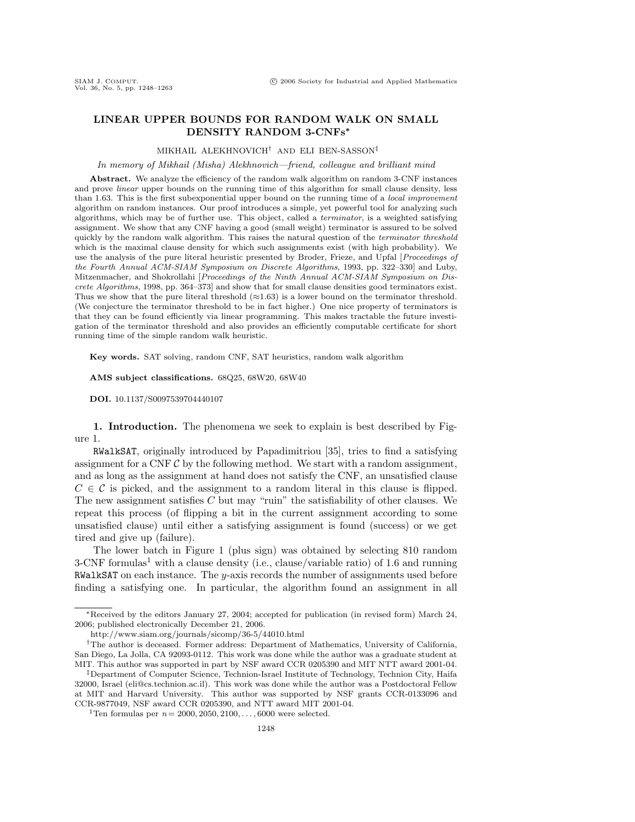# **LINEAR UPPER BOUNDS FOR RANDOM WALK ON SMALL DENSITY RANDOM 3-CNFs***∗*

#### MIKHAIL ALEKHNOVICH† AND ELI BEN-SASSON‡

In memory of Mikhail (Misha) Alekhnovich—friend, colleague and brilliant mind

Abstract. We analyze the efficiency of the random walk algorithm on random 3-CNF instances and prove linear upper bounds on the running time of this algorithm for small clause density, less than 1.63. This is the first subexponential upper bound on the running time of a local improvement algorithm on random instances. Our proof introduces a simple, yet powerful tool for analyzing such algorithms, which may be of further use. This object, called a terminator, is a weighted satisfying assignment. We show that any CNF having a good (small weight) terminator is assured to be solved quickly by the random walk algorithm. This raises the natural question of the terminator threshold which is the maximal clause density for which such assignments exist (with high probability). We use the analysis of the pure literal heuristic presented by Broder, Frieze, and Upfal [Proceedings of the Fourth Annual ACM-SIAM Symposium on Discrete Algorithms, 1993, pp. 322–330] and Luby, Mitzenmacher, and Shokrollahi [Proceedings of the Ninth Annual ACM-SIAM Symposium on Discrete Algorithms, 1998, pp. 364–373] and show that for small clause densities good terminators exist. Thus we show that the pure literal threshold  $(\approx 1.63)$  is a lower bound on the terminator threshold. (We conjecture the terminator threshold to be in fact higher.) One nice property of terminators is that they can be found efficiently via linear programming. This makes tractable the future investigation of the terminator threshold and also provides an efficiently computable certificate for short running time of the simple random walk heuristic.

**Key words.** SAT solving, random CNF, SAT heuristics, random walk algorithm

**AMS subject classifications.** 68Q25, 68W20, 68W40

**DOI.** 10.1137/S0097539704440107

**1. Introduction.** The phenomena we seek to explain is best described by Figure 1.

RWalkSAT, originally introduced by Papadimitriou [35], tries to find a satisfying assignment for a CNF  $\mathcal C$  by the following method. We start with a random assignment, and as long as the assignment at hand does not satisfy the CNF, an unsatisfied clause  $C \in \mathcal{C}$  is picked, and the assignment to a random literal in this clause is flipped. The new assignment satisfies C but may "ruin" the satisfiability of other clauses. We repeat this process (of flipping a bit in the current assignment according to some unsatisfied clause) until either a satisfying assignment is found (success) or we get tired and give up (failure).

The lower batch in Figure 1 (plus sign) was obtained by selecting 810 random  $3$ -CNF formulas<sup>1</sup> with a clause density (i.e., clause/variable ratio) of 1.6 and running RWalkSAT on each instance. The  $y$ -axis records the number of assignments used before finding a satisfying one. In particular, the algorithm found an assignment in all

<sup>∗</sup>Received by the editors January 27, 2004; accepted for publication (in revised form) March 24, 2006; published electronically December 21, 2006.

http://www.siam.org/journals/sicomp/36-5/44010.html

<sup>†</sup>The author is deceased. Former address: Department of Mathematics, University of California, San Diego, La Jolla, CA 92093-0112. This work was done while the author was a graduate student at MIT. This author was supported in part by NSF award CCR 0205390 and MIT NTT award 2001-04.

<sup>‡</sup>Department of Computer Science, Technion-Israel Institute of Technology, Technion City, Haifa 32000, Israel (eli@cs.technion.ac.il). This work was done while the author was a Postdoctoral Fellow at MIT and Harvard University. This author was supported by NSF grants CCR-0133096 and CCR-9877049, NSF award CCR 0205390, and NTT award MIT 2001-04.

<sup>&</sup>lt;sup>1</sup>Ten formulas per  $n = 2000, 2050, 2100, \ldots, 6000$  were selected.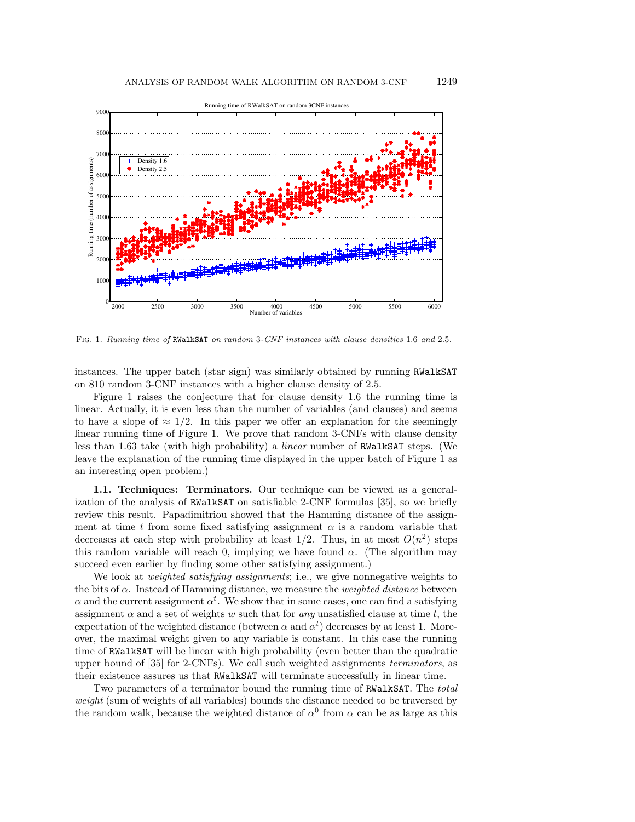

FIG. 1. Running time of RWalkSAT on random 3-CNF instances with clause densities 1.6 and 2.5.

instances. The upper batch (star sign) was similarly obtained by running RWalkSAT on 810 random 3-CNF instances with a higher clause density of 2.5.

Figure 1 raises the conjecture that for clause density 1.6 the running time is linear. Actually, it is even less than the number of variables (and clauses) and seems to have a slope of  $\approx 1/2$ . In this paper we offer an explanation for the seemingly linear running time of Figure 1. We prove that random 3-CNFs with clause density less than 1.63 take (with high probability) a linear number of RWalkSAT steps. (We leave the explanation of the running time displayed in the upper batch of Figure 1 as an interesting open problem.)

**1.1. Techniques: Terminators.** Our technique can be viewed as a generalization of the analysis of RWalkSAT on satisfiable 2-CNF formulas [35], so we briefly review this result. Papadimitriou showed that the Hamming distance of the assignment at time t from some fixed satisfying assignment  $\alpha$  is a random variable that decreases at each step with probability at least  $1/2$ . Thus, in at most  $O(n^2)$  steps this random variable will reach 0, implying we have found  $\alpha$ . (The algorithm may succeed even earlier by finding some other satisfying assignment.)

We look at *weighted satisfying assignments*; i.e., we give nonnegative weights to the bits of  $\alpha$ . Instead of Hamming distance, we measure the *weighted distance* between  $\alpha$  and the current assignment  $\alpha^t$ . We show that in some cases, one can find a satisfying assignment  $\alpha$  and a set of weights w such that for any unsatisfied clause at time t, the expectation of the weighted distance (between  $\alpha$  and  $\alpha^t$ ) decreases by at least 1. Moreover, the maximal weight given to any variable is constant. In this case the running time of RWalkSAT will be linear with high probability (even better than the quadratic upper bound of [35] for 2-CNFs). We call such weighted assignments terminators, as their existence assures us that RWalkSAT will terminate successfully in linear time.

Two parameters of a terminator bound the running time of RWalkSAT. The total weight (sum of weights of all variables) bounds the distance needed to be traversed by the random walk, because the weighted distance of  $\alpha^0$  from  $\alpha$  can be as large as this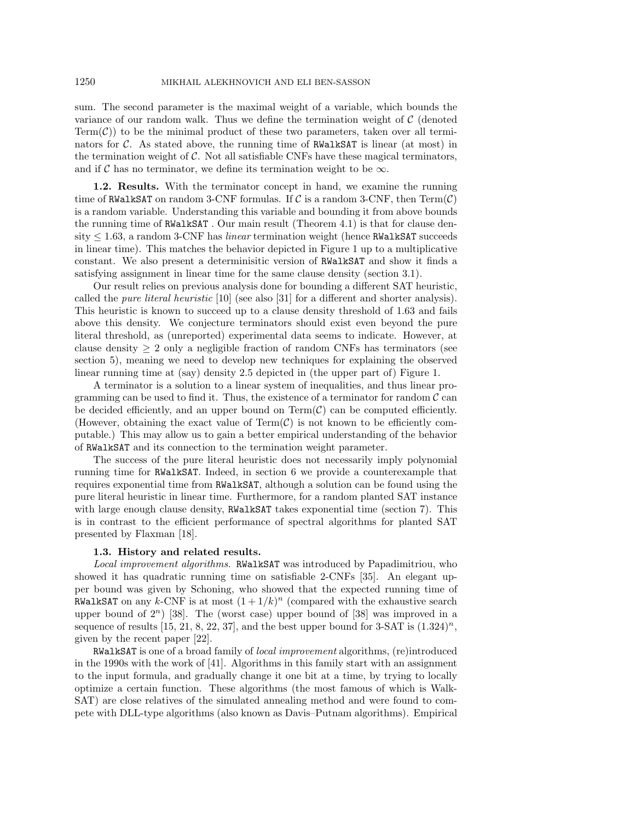sum. The second parameter is the maximal weight of a variable, which bounds the variance of our random walk. Thus we define the termination weight of  $\mathcal C$  (denoted  $Term(\mathcal{C}))$  to be the minimal product of these two parameters, taken over all terminators for  $\mathcal{C}$ . As stated above, the running time of RWalkSAT is linear (at most) in the termination weight of  $\mathcal C$ . Not all satisfiable CNFs have these magical terminators, and if C has no terminator, we define its termination weight to be  $\infty$ .

**1.2. Results.** With the terminator concept in hand, we examine the running time of RWalkSAT on random 3-CNF formulas. If C is a random 3-CNF, then  $Term(\mathcal{C})$ is a random variable. Understanding this variable and bounding it from above bounds the running time of RWalkSAT . Our main result (Theorem 4.1) is that for clause density  $\leq 1.63$ , a random 3-CNF has *linear* termination weight (hence RWalkSAT succeeds in linear time). This matches the behavior depicted in Figure 1 up to a multiplicative constant. We also present a determinisitic version of RWalkSAT and show it finds a satisfying assignment in linear time for the same clause density (section 3.1).

Our result relies on previous analysis done for bounding a different SAT heuristic, called the pure literal heuristic [10] (see also [31] for a different and shorter analysis). This heuristic is known to succeed up to a clause density threshold of 1.63 and fails above this density. We conjecture terminators should exist even beyond the pure literal threshold, as (unreported) experimental data seems to indicate. However, at clause density  $\geq 2$  only a negligible fraction of random CNFs has terminators (see section 5), meaning we need to develop new techniques for explaining the observed linear running time at (say) density 2.5 depicted in (the upper part of) Figure 1.

A terminator is a solution to a linear system of inequalities, and thus linear programming can be used to find it. Thus, the existence of a terminator for random  $\mathcal C$  can be decided efficiently, and an upper bound on  $Term(\mathcal{C})$  can be computed efficiently. (However, obtaining the exact value of  $Term(\mathcal{C})$  is not known to be efficiently computable.) This may allow us to gain a better empirical understanding of the behavior of RWalkSAT and its connection to the termination weight parameter.

The success of the pure literal heuristic does not necessarily imply polynomial running time for RWalkSAT. Indeed, in section 6 we provide a counterexample that requires exponential time from RWalkSAT, although a solution can be found using the pure literal heuristic in linear time. Furthermore, for a random planted SAT instance with large enough clause density, RWalkSAT takes exponential time (section 7). This is in contrast to the efficient performance of spectral algorithms for planted SAT presented by Flaxman [18].

### **1.3. History and related results.**

Local improvement algorithms. RWalkSAT was introduced by Papadimitriou, who showed it has quadratic running time on satisfiable 2-CNFs [35]. An elegant upper bound was given by Schoning, who showed that the expected running time of RWalkSAT on any k-CNF is at most  $(1+1/k)^n$  (compared with the exhaustive search upper bound of  $2^n$ ) [38]. The (worst case) upper bound of [38] was improved in a sequence of results [15, 21, 8, 22, 37], and the best upper bound for 3-SAT is  $(1.324)^n$ , given by the recent paper [22].

RWalkSAT is one of a broad family of *local improvement* algorithms, (re)introduced in the 1990s with the work of [41]. Algorithms in this family start with an assignment to the input formula, and gradually change it one bit at a time, by trying to locally optimize a certain function. These algorithms (the most famous of which is Walk-SAT) are close relatives of the simulated annealing method and were found to compete with DLL-type algorithms (also known as Davis–Putnam algorithms). Empirical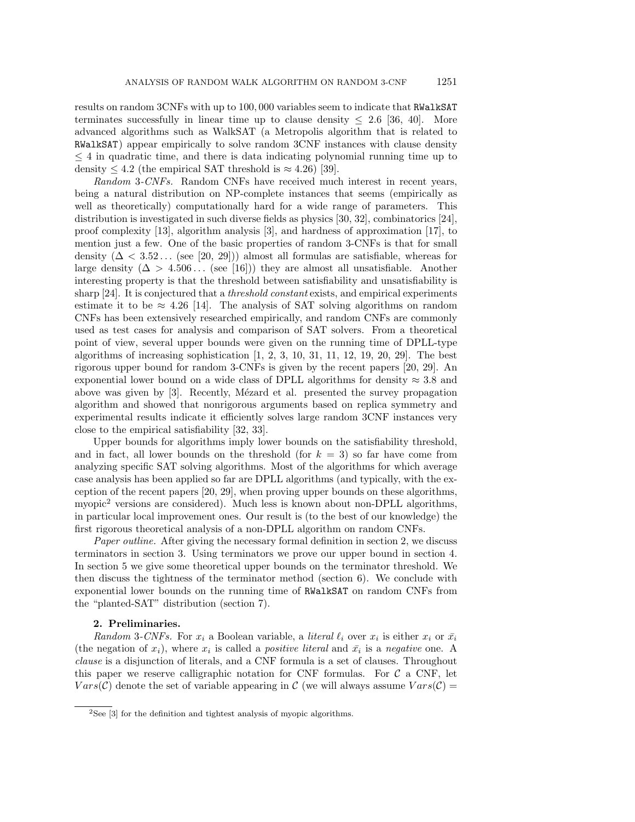results on random 3CNFs with up to 100, 000 variables seem to indicate that RWalkSAT terminates successfully in linear time up to clause density  $\leq 2.6$  [36, 40]. More advanced algorithms such as WalkSAT (a Metropolis algorithm that is related to RWalkSAT) appear empirically to solve random 3CNF instances with clause density  $\leq$  4 in quadratic time, and there is data indicating polynomial running time up to density  $\leq 4.2$  (the empirical SAT threshold is  $\approx 4.26$ ) [39].

Random 3-CNFs. Random CNFs have received much interest in recent years, being a natural distribution on NP-complete instances that seems (empirically as well as theoretically) computationally hard for a wide range of parameters. This distribution is investigated in such diverse fields as physics [30, 32], combinatorics [24], proof complexity [13], algorithm analysis [3], and hardness of approximation [17], to mention just a few. One of the basic properties of random 3-CNFs is that for small density  $(\Delta < 3.52...$  (see [20, 29])) almost all formulas are satisfiable, whereas for large density  $(\Delta > 4.506...$  (see [16])) they are almost all unsatisfiable. Another interesting property is that the threshold between satisfiability and unsatisfiability is sharp [24]. It is conjectured that a threshold constant exists, and empirical experiments estimate it to be  $\approx 4.26$  [14]. The analysis of SAT solving algorithms on random CNFs has been extensively researched empirically, and random CNFs are commonly used as test cases for analysis and comparison of SAT solvers. From a theoretical point of view, several upper bounds were given on the running time of DPLL-type algorithms of increasing sophistication  $[1, 2, 3, 10, 31, 11, 12, 19, 20, 29]$ . The best rigorous upper bound for random 3-CNFs is given by the recent papers [20, 29]. An exponential lower bound on a wide class of DPLL algorithms for density  $\approx 3.8$  and above was given by [3]. Recently, Mézard et al. presented the survey propagation algorithm and showed that nonrigorous arguments based on replica symmetry and experimental results indicate it efficiently solves large random 3CNF instances very close to the empirical satisfiability [32, 33].

Upper bounds for algorithms imply lower bounds on the satisfiability threshold, and in fact, all lower bounds on the threshold (for  $k = 3$ ) so far have come from analyzing specific SAT solving algorithms. Most of the algorithms for which average case analysis has been applied so far are DPLL algorithms (and typically, with the exception of the recent papers [20, 29], when proving upper bounds on these algorithms, myopic<sup>2</sup> versions are considered). Much less is known about non-DPLL algorithms, in particular local improvement ones. Our result is (to the best of our knowledge) the first rigorous theoretical analysis of a non-DPLL algorithm on random CNFs.

Paper outline. After giving the necessary formal definition in section 2, we discuss terminators in section 3. Using terminators we prove our upper bound in section 4. In section 5 we give some theoretical upper bounds on the terminator threshold. We then discuss the tightness of the terminator method (section 6). We conclude with exponential lower bounds on the running time of RWalkSAT on random CNFs from the "planted-SAT" distribution (section 7).

### **2. Preliminaries.**

Random 3-CNFs. For  $x_i$  a Boolean variable, a *literal*  $\ell_i$  over  $x_i$  is either  $x_i$  or  $\bar{x_i}$ (the negation of  $x_i$ ), where  $x_i$  is called a *positive literal* and  $\bar{x}_i$  is a *negative* one. A clause is a disjunction of literals, and a CNF formula is a set of clauses. Throughout this paper we reserve calligraphic notation for CNF formulas. For  $\mathcal{C}$  a CNF, let  $Vars(\mathcal{C})$  denote the set of variable appearing in  $\mathcal{C}$  (we will always assume  $Vars(\mathcal{C}) =$ 

 $2$ See [3] for the definition and tightest analysis of myopic algorithms.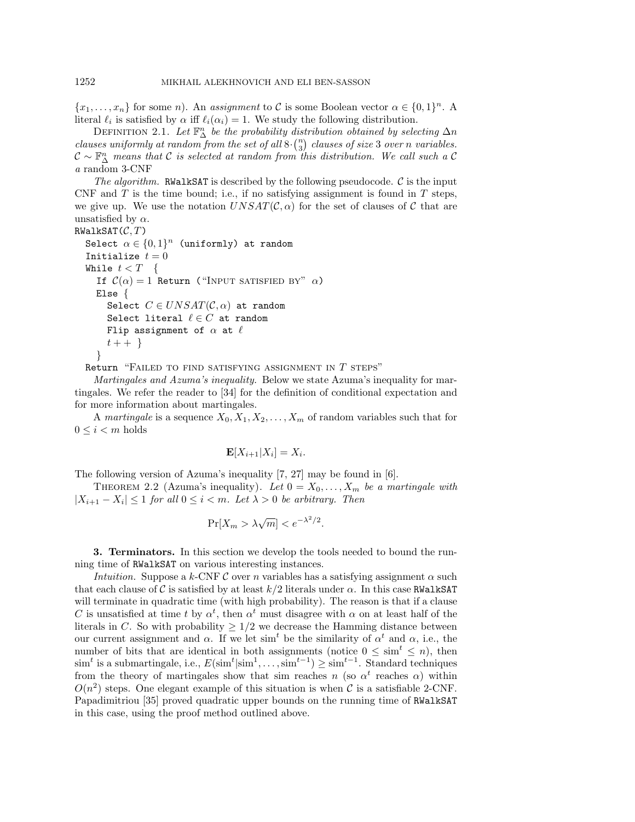${x_1, \ldots, x_n}$  for some n). An assignment to C is some Boolean vector  $\alpha \in \{0,1\}^n$ . A literal  $\ell_i$  is satisfied by  $\alpha$  iff  $\ell_i(\alpha_i) = 1$ . We study the following distribution.

DEFINITION 2.1. Let  $\mathbb{F}_{\Delta}^n$  be the probability distribution obtained by selecting  $\Delta n$ clauses uniformly at random from the set of all  $8 \cdot {n \choose 3}$  clauses of size 3 over n variables.  $\mathcal{C} \sim \mathbb{F}_{\Delta}^n$  means that C is selected at random from this distribution. We call such a C a random 3-CNF

The algorithm. RWalkSAT is described by the following pseudocode.  $\mathcal C$  is the input CNF and  $T$  is the time bound; i.e., if no satisfying assignment is found in  $T$  steps, we give up. We use the notation  $UNSAT(\mathcal{C}, \alpha)$  for the set of clauses of C that are unsatisfied by  $\alpha$ .

## $RWalkSAT(C, T)$

```
Select \alpha \in \{0,1\}^n (uniformly) at random
Initialize t = 0While t < T {
  If C(\alpha) = 1 Return ("INPUT SATISFIED BY" \alpha)
  Else {
     Select C \in UNSAT(\mathcal{C}, \alpha) at random
     Select literal \ell \in C at random
    Flip assignment of \alpha at \ellt + + \}}
```
Return "FAILED TO FIND SATISFYING ASSIGNMENT IN  $T$  steps"

Martingales and Azuma's inequality. Below we state Azuma's inequality for martingales. We refer the reader to [34] for the definition of conditional expectation and for more information about martingales.

A martingale is a sequence  $X_0, X_1, X_2, \ldots, X_m$  of random variables such that for  $0 \leq i \leq m$  holds

$$
\mathbf{E}[X_{i+1}|X_i] = X_i.
$$

The following version of Azuma's inequality [7, 27] may be found in [6].

THEOREM 2.2 (Azuma's inequality). Let  $0 = X_0, \ldots, X_m$  be a martingale with  $|X_{i+1} - X_i| \leq 1$  for all  $0 \leq i < m$ . Let  $\lambda > 0$  be arbitrary. Then

$$
\Pr[X_m > \lambda \sqrt{m}] < e^{-\lambda^2/2}.
$$

**3. Terminators.** In this section we develop the tools needed to bound the running time of RWalkSAT on various interesting instances.

Intuition. Suppose a k-CNF C over n variables has a satisfying assignment  $\alpha$  such that each clause of C is satisfied by at least  $k/2$  literals under  $\alpha$ . In this case RWalkSAT will terminate in quadratic time (with high probability). The reason is that if a clause C is unsatisfied at time t by  $\alpha^t$ , then  $\alpha^t$  must disagree with  $\alpha$  on at least half of the literals in C. So with probability  $\geq 1/2$  we decrease the Hamming distance between our current assignment and  $\alpha$ . If we let sim<sup>t</sup> be the similarity of  $\alpha^t$  and  $\alpha$ , i.e., the number of bits that are identical in both assignments (notice  $0 \le \sin^t \le n$ ), then  $\sin^t$  is a submartingale, i.e.,  $E(\sin^t | \sin^1, \ldots, \sin^{t-1}) \geq \sin^{t-1}$ . Standard techniques from the theory of martingales show that sim reaches n (so  $\alpha^t$  reaches  $\alpha$ ) within  $O(n^2)$  steps. One elegant example of this situation is when C is a satisfiable 2-CNF. Papadimitriou [35] proved quadratic upper bounds on the running time of RWalkSAT in this case, using the proof method outlined above.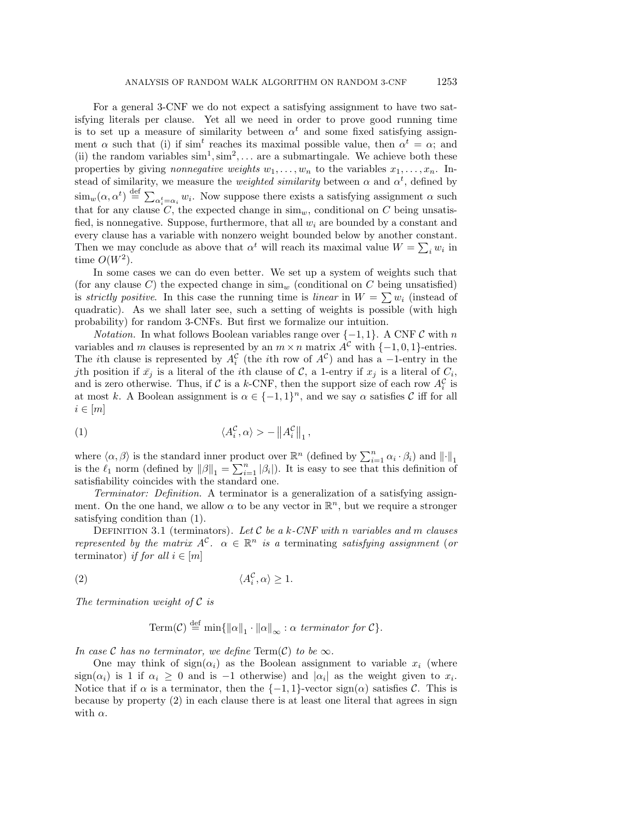For a general 3-CNF we do not expect a satisfying assignment to have two satisfying literals per clause. Yet all we need in order to prove good running time is to set up a measure of similarity between  $\alpha^t$  and some fixed satisfying assignment  $\alpha$  such that (i) if sim<sup>t</sup> reaches its maximal possible value, then  $\alpha^t = \alpha$ ; and (ii) the random variables  $\text{sim}^1, \text{sim}^2, \ldots$  are a submartingale. We achieve both these properties by giving nonnegative weights  $w_1, \ldots, w_n$  to the variables  $x_1, \ldots, x_n$ . Instead of similarity, we measure the *weighted similarity* between  $\alpha$  and  $\alpha^t$ , defined by  $\lim_{w}(\alpha, \alpha^t) \stackrel{\text{def}}{=} \sum_{\alpha_i^t = \alpha_i} w_i$ . Now suppose there exists a satisfying assignment  $\alpha$  such that for any clause  $C$ , the expected change in sim<sub>w</sub>, conditional on C being unsatisfied, is nonnegative. Suppose, furthermore, that all  $w_i$  are bounded by a constant and every clause has a variable with nonzero weight bounded below by another constant. Then we may conclude as above that  $\alpha^t$  will reach its maximal value  $W = \sum_i w_i$  in time  $O(W^2)$ .

In some cases we can do even better. We set up a system of weights such that (for any clause C) the expected change in  $\text{sim}_w$  (conditional on C being unsatisfied) is strictly positive. In this case the running time is linear in  $W = \sum w_i$  (instead of quadratic). As we shall later see, such a setting of weights is possible (with high probability) for random 3-CNFs. But first we formalize our intuition.

*Notation.* In what follows Boolean variables range over  $\{-1, 1\}$ . A CNF C with n variables and m clauses is represented by an  $m \times n$  matrix  $A^{\mathcal{C}}$  with  $\{-1, 0, 1\}$ -entries. The *i*th clause is represented by  $A_i^{\mathcal{C}}$  (the *i*th row of  $A^{\mathcal{C}}$ ) and has a -1-entry in the jth position if  $\bar{x}_j$  is a literal of the *i*th clause of C, a 1-entry if  $x_j$  is a literal of  $C_i$ , and is zero otherwise. Thus, if C is a k-CNF, then the support size of each row  $A_i^C$  is at most k. A Boolean assignment is  $\alpha \in \{-1,1\}^n$ , and we say  $\alpha$  satisfies C iff for all  $i \in [m]$ 

(1) 
$$
\langle A_i^{\mathcal{C}}, \alpha \rangle > - \left\| A_i^{\mathcal{C}} \right\|_1,
$$

where  $\langle \alpha, \beta \rangle$  is the standard inner product over  $\mathbb{R}^n$  (defined by  $\sum_{i=1}^n \alpha_i \cdot \beta_i$ ) and  $\|\cdot\|_1$ is the  $\ell_1$  norm (defined by  $\|\beta\|_1 = \sum_{i=1}^n |\beta_i|$ ). It is easy to see that this definition of satisfiability coincides with the standard one.

Terminator: Definition. A terminator is a generalization of a satisfying assignment. On the one hand, we allow  $\alpha$  to be any vector in  $\mathbb{R}^n$ , but we require a stronger satisfying condition than (1).

DEFINITION 3.1 (terminators). Let  $C$  be a k-CNF with n variables and m clauses represented by the matrix  $A^{\mathcal{C}}$ .  $\alpha \in \mathbb{R}^n$  is a terminating satisfying assignment (or terminator) if for all  $i \in [m]$ 

$$
\langle A_i^{\mathcal{C}}, \alpha \rangle \ge 1.
$$

The termination weight of  $\mathcal C$  is

Term(C) 
$$
\stackrel{\text{def}}{=}
$$
 min $\{||\alpha||_1 \cdot ||\alpha||_{\infty} : \alpha \text{ terminator for } C\}.$ 

In case C has no terminator, we define  $\text{Term}(\mathcal{C})$  to be  $\infty$ .

One may think of  $sign(\alpha_i)$  as the Boolean assignment to variable  $x_i$  (where sign( $\alpha_i$ ) is 1 if  $\alpha_i \geq 0$  and is -1 otherwise) and  $|\alpha_i|$  as the weight given to  $x_i$ . Notice that if  $\alpha$  is a terminator, then the  $\{-1,1\}$ -vector sign( $\alpha$ ) satisfies C. This is because by property (2) in each clause there is at least one literal that agrees in sign with  $\alpha$ .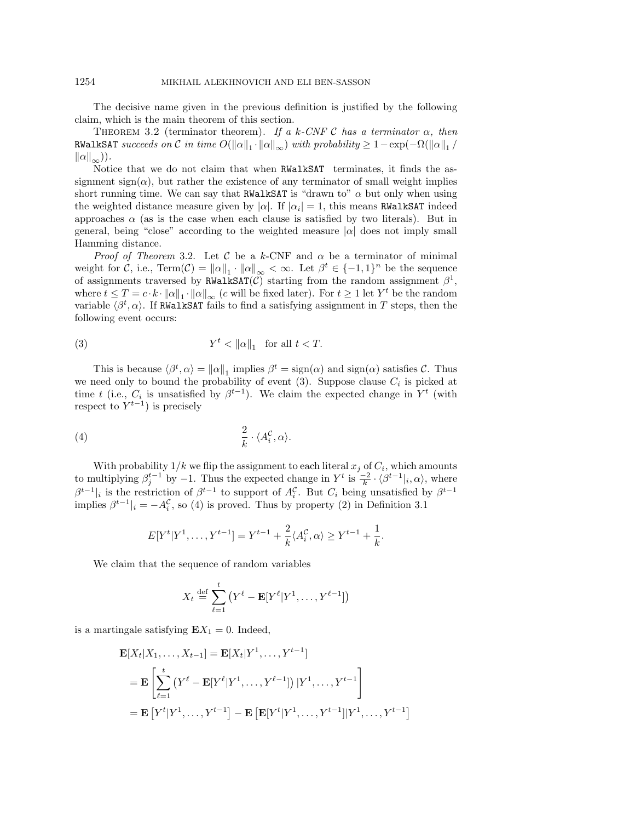The decisive name given in the previous definition is justified by the following claim, which is the main theorem of this section.

THEOREM 3.2 (terminator theorem). If a k-CNF C has a terminator  $\alpha$ , then RWalkSAT succeeds on C in time  $O(\|\alpha\|_1 \cdot \|\alpha\|_{\infty})$  with probability  $\geq 1-\exp(-\Omega(\|\alpha\|_1/\|a\|_1))$  $\|\alpha\|_{\infty}$ )).

Notice that we do not claim that when RWalkSAT terminates, it finds the assignment sign( $\alpha$ ), but rather the existence of any terminator of small weight implies short running time. We can say that RWalkSAT is "drawn to"  $\alpha$  but only when using the weighted distance measure given by  $|\alpha|$ . If  $|\alpha_i| = 1$ , this means RWalkSAT indeed approaches  $\alpha$  (as is the case when each clause is satisfied by two literals). But in general, being "close" according to the weighted measure  $|\alpha|$  does not imply small Hamming distance.

Proof of Theorem 3.2. Let C be a k-CNF and  $\alpha$  be a terminator of minimal weight for C, i.e., Term $(C) = ||\alpha||_1 \cdot ||\alpha||_{\infty} < \infty$ . Let  $\beta^t \in \{-1,1\}^n$  be the sequence of assignments traversed by RWalkSAT $(C)$  starting from the random assignment  $\beta^1$ , where  $t \leq T = c \cdot k \cdot ||\alpha||_1 \cdot ||\alpha||_{\infty}$  (c will be fixed later). For  $t \geq 1$  let  $Y^t$  be the random variable  $\langle \beta^t, \alpha \rangle$ . If RWalkSAT fails to find a satisfying assignment in T steps, then the following event occurs:

(3) 
$$
Y^t < ||\alpha||_1 \quad \text{for all } t < T.
$$

This is because  $\langle \beta^t, \alpha \rangle = ||\alpha||_1$  implies  $\beta^t = \text{sign}(\alpha)$  and  $\text{sign}(\alpha)$  satisfies C. Thus we need only to bound the probability of event  $(3)$ . Suppose clause  $C_i$  is picked at time t (i.e.,  $C_i$  is unsatisfied by  $\beta^{t-1}$ ). We claim the expected change in Y<sup>t</sup> (with respect to  $Y^{t-1}$ ) is precisely

$$
\frac{2}{k} \cdot \langle A_i^{\mathcal{C}}, \alpha \rangle.
$$

With probability  $1/k$  we flip the assignment to each literal  $x_j$  of  $C_i$ , which amounts to multiplying  $\beta_j^{t-1}$  by  $-1$ . Thus the expected change in  $Y^t$  is  $\frac{-2}{k} \cdot \langle \beta^{t-1} |_{i}, \alpha \rangle$ , where  $\beta^{t-1}|_i$  is the restriction of  $\beta^{t-1}$  to support of  $A_i^{\mathcal{C}}$ . But  $C_i$  being unsatisfied by  $\beta^{t-1}$ implies  $\beta^{t-1}|_i = -A_i^{\mathcal{C}}$ , so (4) is proved. Thus by property (2) in Definition 3.1

$$
E[Y^t|Y^1, \dots, Y^{t-1}] = Y^{t-1} + \frac{2}{k} \langle A_i^{\mathcal{C}}, \alpha \rangle \ge Y^{t-1} + \frac{1}{k}.
$$

We claim that the sequence of random variables

$$
X_t \stackrel{\text{def}}{=} \sum_{\ell=1}^t \left( Y^{\ell} - \mathbf{E}[Y^{\ell} | Y^1, \dots, Y^{\ell-1}] \right)
$$

is a martingale satisfying  $E X_1 = 0$ . Indeed,

$$
\mathbf{E}[X_t|X_1,\ldots,X_{t-1}] = \mathbf{E}[X_t|Y^1,\ldots,Y^{t-1}]
$$
\n
$$
= \mathbf{E}\left[\sum_{\ell=1}^t (Y^{\ell} - \mathbf{E}[Y^{\ell}|Y^1,\ldots,Y^{\ell-1}]) |Y^1,\ldots,Y^{t-1}\right]
$$
\n
$$
= \mathbf{E}[Y^t|Y^1,\ldots,Y^{t-1}] - \mathbf{E}\left[\mathbf{E}[Y^t|Y^1,\ldots,Y^{t-1}] |Y^1,\ldots,Y^{t-1}\right]
$$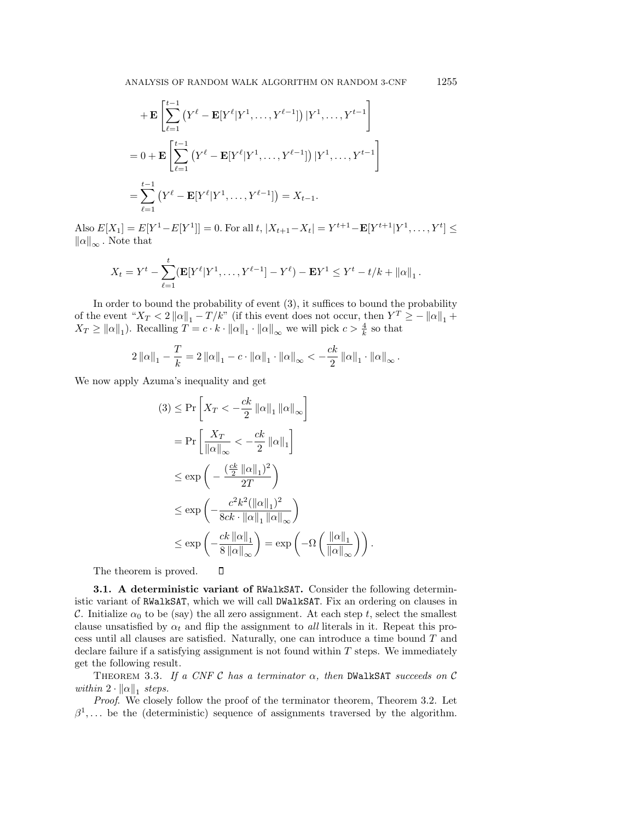+**E**
$$
\left[\sum_{\ell=1}^{t-1} (Y^{\ell} - \mathbf{E}[Y^{\ell}|Y^1, \dots, Y^{\ell-1}]) |Y^1, \dots, Y^{t-1}\right]
$$
  
=  $0 + \mathbf{E} \left[\sum_{\ell=1}^{t-1} (Y^{\ell} - \mathbf{E}[Y^{\ell}|Y^1, \dots, Y^{\ell-1}]) |Y^1, \dots, Y^{t-1}\right]$   
= 
$$
\sum_{\ell=1}^{t-1} (Y^{\ell} - \mathbf{E}[Y^{\ell}|Y^1, \dots, Y^{\ell-1}]) = X_{t-1}.
$$

Also  $E[X_1] = E[Y^1 - E[Y^1]] = 0$ . For all  $t, |X_{t+1} - X_t| = Y^{t+1} - E[Y^{t+1}|Y^1, \ldots, Y^t] \le$  $\|\alpha\|_{\infty}$ . Note that

$$
X_t = Y^t - \sum_{\ell=1}^t (\mathbf{E}[Y^{\ell}|Y^1,\ldots,Y^{\ell-1}] - Y^{\ell}) - \mathbf{E}Y^1 \leq Y^t - t/k + ||\alpha||_1.
$$

In order to bound the probability of event (3), it suffices to bound the probability of the event " $X_T < 2 ||\alpha||_1 - T/k$ " (if this event does not occur, then  $Y^T \ge -||\alpha||_1 +$  $X_T \ge ||\alpha||_1$ ). Recalling  $T = c \cdot k \cdot ||\alpha||_1 \cdot ||\alpha||_{\infty}$  we will pick  $c > \frac{4}{k}$  so that

$$
2\left\|\alpha\right\|_{1} - \frac{T}{k} = 2\left\|\alpha\right\|_{1} - c \cdot \left\|\alpha\right\|_{1} \cdot \left\|\alpha\right\|_{\infty} < -\frac{ck}{2} \left\|\alpha\right\|_{1} \cdot \left\|\alpha\right\|_{\infty}.
$$

We now apply Azuma's inequality and get

$$
(3) \leq \Pr\left[X_T < -\frac{ck}{2} \|\alpha\|_1 \|\alpha\|_\infty\right]
$$
\n
$$
= \Pr\left[\frac{X_T}{\|\alpha\|_\infty} < -\frac{ck}{2} \|\alpha\|_1\right]
$$
\n
$$
\leq \exp\left(-\frac{\left(\frac{ck}{2} \|\alpha\|_1\right)^2}{2T}\right)
$$
\n
$$
\leq \exp\left(-\frac{c^2 k^2 (\|\alpha\|_1)^2}{8ck \cdot \|\alpha\|_1 \|\alpha\|_\infty}\right)
$$
\n
$$
\leq \exp\left(-\frac{ck \|\alpha\|_1}{8 \|\alpha\|_\infty}\right) = \exp\left(-\Omega\left(\frac{\|\alpha\|_1}{\|\alpha\|_\infty}\right)\right).
$$

The theorem is proved.

**3.1. A deterministic variant of** RWalkSAT**.** Consider the following deterministic variant of RWalkSAT, which we will call DWalkSAT. Fix an ordering on clauses in C. Initialize  $\alpha_0$  to be (say) the all zero assignment. At each step t, select the smallest clause unsatisfied by  $\alpha_t$  and flip the assignment to *all* literals in it. Repeat this process until all clauses are satisfied. Naturally, one can introduce a time bound T and declare failure if a satisfying assignment is not found within  $T$  steps. We immediately get the following result.

 $\Box$ 

THEOREM 3.3. If a CNF C has a terminator  $\alpha$ , then DWalkSAT succeeds on C within  $2 \cdot ||\alpha||_1$  steps.

Proof. We closely follow the proof of the terminator theorem, Theorem 3.2. Let  $\beta^1$ ,... be the (deterministic) sequence of assignments traversed by the algorithm.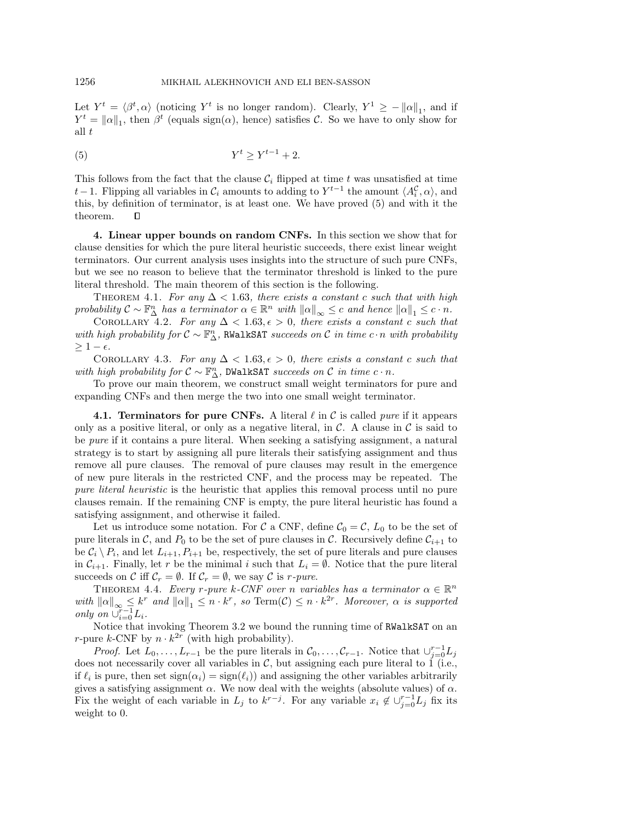Let  $Y^t = \langle \beta^t, \alpha \rangle$  (noticing  $Y^t$  is no longer random). Clearly,  $Y^1 \ge -||\alpha||_1$ , and if  $Y^t = ||\alpha||_1$ , then  $\beta^t$  (equals sign( $\alpha$ ), hence) satisfies C. So we have to only show for all  $t$ 

$$
(5) \t Y^t \ge Y^{t-1} + 2.
$$

This follows from the fact that the clause  $\mathcal{C}_i$  flipped at time t was unsatisfied at time t − 1. Flipping all variables in  $\mathcal{C}_i$  amounts to adding to  $Y^{t-1}$  the amount  $\langle A_i^{\mathcal{C}}, \alpha \rangle$ , and this, by definition of terminator, is at least one. We have proved (5) and with it the theorem. П

**4. Linear upper bounds on random CNFs.** In this section we show that for clause densities for which the pure literal heuristic succeeds, there exist linear weight terminators. Our current analysis uses insights into the structure of such pure CNFs, but we see no reason to believe that the terminator threshold is linked to the pure literal threshold. The main theorem of this section is the following.

THEOREM 4.1. For any  $\Delta < 1.63$ , there exists a constant c such that with high probability  $C \sim \mathbb{F}_{\Delta}^n$  has a terminator  $\alpha \in \mathbb{R}^n$  with  $\|\alpha\|_{\infty} \leq c$  and hence  $\|\alpha\|_{1} \leq c \cdot n$ .

COROLLARY 4.2. For any  $\Delta < 1.63, \epsilon > 0$ , there exists a constant c such that with high probability for  $\mathcal{C} \sim \mathbb{F}_{\Delta}^n$ , RWalkSAT succeeds on  $\mathcal{C}$  in time  $c \cdot n$  with probability  $\geq 1-\epsilon$ .

COROLLARY 4.3. For any  $\Delta < 1.63, \epsilon > 0$ , there exists a constant c such that with high probability for  $C \sim \mathbb{F}_{\Delta}^n$ , DWalkSAT succeeds on  $C$  in time  $c \cdot n$ .

To prove our main theorem, we construct small weight terminators for pure and expanding CNFs and then merge the two into one small weight terminator.

**4.1. Terminators for pure CNFs.** A literal  $\ell$  in C is called *pure* if it appears only as a positive literal, or only as a negative literal, in  $\mathcal{C}$ . A clause in  $\mathcal{C}$  is said to be pure if it contains a pure literal. When seeking a satisfying assignment, a natural strategy is to start by assigning all pure literals their satisfying assignment and thus remove all pure clauses. The removal of pure clauses may result in the emergence of new pure literals in the restricted CNF, and the process may be repeated. The pure literal heuristic is the heuristic that applies this removal process until no pure clauses remain. If the remaining CNF is empty, the pure literal heuristic has found a satisfying assignment, and otherwise it failed.

Let us introduce some notation. For C a CNF, define  $C_0 = C$ ,  $L_0$  to be the set of pure literals in C, and  $P_0$  to be the set of pure clauses in C. Recursively define  $C_{i+1}$  to be  $C_i \setminus P_i$ , and let  $L_{i+1}, P_{i+1}$  be, respectively, the set of pure literals and pure clauses in  $C_{i+1}$ . Finally, let r be the minimal i such that  $L_i = \emptyset$ . Notice that the pure literal succeeds on C iff  $C_r = \emptyset$ . If  $C_r = \emptyset$ , we say C is r-pure.

THEOREM 4.4. Every r-pure k-CNF over n variables has a terminator  $\alpha \in \mathbb{R}^n$ with  $\|\alpha\|_{\infty} \leq k^r$  and  $\|\alpha\|_1 \leq n \cdot k^r$ , so Term $(C) \leq n \cdot k^{2r}$ . Moreover,  $\alpha$  is supported only on  $\bigcup_{i=0}^{r-1} L_i$ .

Notice that invoking Theorem 3.2 we bound the running time of RWalkSAT on an r-pure k-CNF by  $n \cdot k^{2r}$  (with high probability).

*Proof.* Let  $L_0, \ldots, L_{r-1}$  be the pure literals in  $C_0, \ldots, C_{r-1}$ . Notice that  $\cup_{j=0}^{r-1} L_j$ does not necessarily cover all variables in  $\mathcal{C}$ , but assigning each pure literal to 1 (i.e., if  $\ell_i$  is pure, then set  $sign(\alpha_i) = sign(\ell_i)$  and assigning the other variables arbitrarily gives a satisfying assignment  $\alpha$ . We now deal with the weights (absolute values) of  $\alpha$ . Fix the weight of each variable in  $L_j$  to  $k^{r-j}$ . For any variable  $x_i \notin \cup_{j=0}^{r-1} L_j$  fix its weight to 0.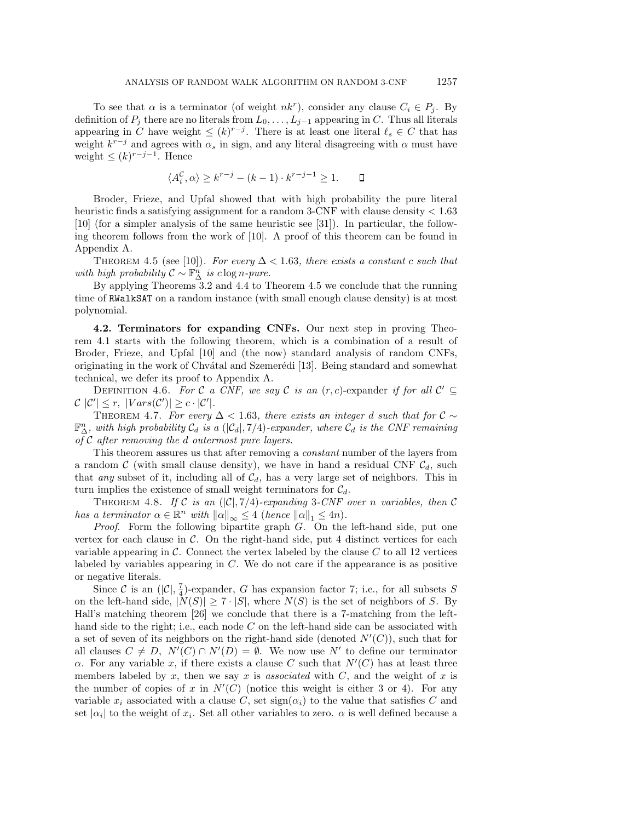To see that  $\alpha$  is a terminator (of weight  $nk^r$ ), consider any clause  $C_i \in P_j$ . By definition of  $P_j$  there are no literals from  $L_0, \ldots, L_{j-1}$  appearing in C. Thus all literals appearing in C have weight  $\leq (k)^{r-j}$ . There is at least one literal  $\ell_s \in C$  that has weight  $k^{r-j}$  and agrees with  $\alpha_s$  in sign, and any literal disagreeing with  $\alpha$  must have weight  $\leq (k)^{r-j-1}$ . Hence

$$
\langle A_i^{\mathcal{C}}, \alpha \rangle \ge k^{r-j} - (k-1) \cdot k^{r-j-1} \ge 1. \qquad \Box
$$

Broder, Frieze, and Upfal showed that with high probability the pure literal heuristic finds a satisfying assignment for a random 3-CNF with clause density < 1.63 [10] (for a simpler analysis of the same heuristic see [31]). In particular, the following theorem follows from the work of [10]. A proof of this theorem can be found in Appendix A.

THEOREM 4.5 (see [10]). For every  $\Delta < 1.63$ , there exists a constant c such that with high probability  $\mathcal{C} \sim \mathbb{F}_{\Delta}^n$  is  $c \log n$ -pure.

By applying Theorems 3.2 and 4.4 to Theorem 4.5 we conclude that the running time of RWalkSAT on a random instance (with small enough clause density) is at most polynomial.

**4.2. Terminators for expanding CNFs.** Our next step in proving Theorem 4.1 starts with the following theorem, which is a combination of a result of Broder, Frieze, and Upfal [10] and (the now) standard analysis of random CNFs, originating in the work of Chvátal and Szemerédi [13]. Being standard and somewhat technical, we defer its proof to Appendix A.

DEFINITION 4.6. For C a CNF, we say C is an  $(r, c)$ -expander if for all  $\mathcal{C}' \subseteq$  $\mathcal{C}|\mathcal{C}'|\leq r, \ |Vars(\mathcal{C}')|\geq c\cdot |\mathcal{C}'|.$ 

THEOREM 4.7. For every  $\Delta$  < 1.63, there exists an integer d such that for  $\mathcal{C} \sim$  $\mathbb{F}_{\Delta}^n$ , with high probability  $\mathcal{C}_d$  is a  $(|\mathcal{C}_d|, 7/4)$ -expander, where  $\mathcal{C}_d$  is the CNF remaining of  $C$  after removing the d outermost pure layers.

This theorem assures us that after removing a constant number of the layers from a random C (with small clause density), we have in hand a residual CNF  $\mathcal{C}_d$ , such that any subset of it, including all of  $C_d$ , has a very large set of neighbors. This in turn implies the existence of small weight terminators for  $C_d$ .

THEOREM 4.8. If C is an  $(|\mathcal{C}|, 7/4)$ -expanding 3-CNF over n variables, then C has a terminator  $\alpha \in \mathbb{R}^n$  with  $\|\alpha\|_{\infty} \leq 4$  (hence  $\|\alpha\|_{1} \leq 4n$ ).

*Proof.* Form the following bipartite graph  $G$ . On the left-hand side, put one vertex for each clause in  $\mathcal{C}$ . On the right-hand side, put 4 distinct vertices for each variable appearing in  $\mathcal C$ . Connect the vertex labeled by the clause  $C$  to all 12 vertices labeled by variables appearing in C. We do not care if the appearance is as positive or negative literals.

Since C is an  $(|\mathcal{C}|, \frac{7}{4})$ -expander, G has expansion factor 7; i.e., for all subsets S on the left-hand side,  $|N(S)| \ge 7 \cdot |S|$ , where  $N(S)$  is the set of neighbors of S. By Hall's matching theorem [26] we conclude that there is a 7-matching from the lefthand side to the right; i.e., each node  $C$  on the left-hand side can be associated with a set of seven of its neighbors on the right-hand side (denoted  $N'(C)$ ), such that for all clauses  $C \neq D$ ,  $N'(C) \cap N'(D) = \emptyset$ . We now use N' to define our terminator  $\alpha$ . For any variable x, if there exists a clause C such that  $N'(C)$  has at least three members labeled by x, then we say x is associated with  $C$ , and the weight of x is the number of copies of x in  $N'(C)$  (notice this weight is either 3 or 4). For any variable  $x_i$  associated with a clause C, set  $sign(\alpha_i)$  to the value that satisfies C and set  $|\alpha_i|$  to the weight of  $x_i$ . Set all other variables to zero.  $\alpha$  is well defined because a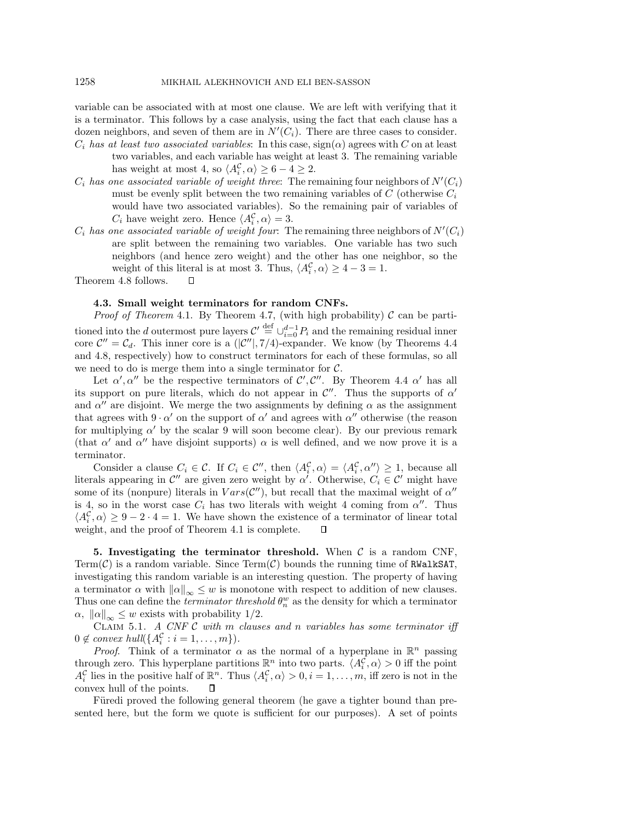variable can be associated with at most one clause. We are left with verifying that it is a terminator. This follows by a case analysis, using the fact that each clause has a dozen neighbors, and seven of them are in  $N'(C_i)$ . There are three cases to consider.  $C_i$  has at least two associated variables: In this case,  $sign(\alpha)$  agrees with C on at least

- two variables, and each variable has weight at least 3. The remaining variable has weight at most 4, so  $\langle A_i^{\mathcal{C}}, \alpha \rangle \ge 6 - 4 \ge 2$ .
- $C_i$  has one associated variable of weight three: The remaining four neighbors of  $N^{\prime}(C_i)$ must be evenly split between the two remaining variables of  $C$  (otherwise  $C_i$ ) would have two associated variables). So the remaining pair of variables of  $C_i$  have weight zero. Hence  $\langle A_i^C, \alpha \rangle = 3$ .
- $C_i$  has one associated variable of weight four: The remaining three neighbors of  $N'(C_i)$ are split between the remaining two variables. One variable has two such neighbors (and hence zero weight) and the other has one neighbor, so the weight of this literal is at most 3. Thus,  $\langle A_i^C, \alpha \rangle \ge 4 - 3 = 1$ .

Theorem 4.8 follows.  $\Box$ 

## **4.3. Small weight terminators for random CNFs.**

*Proof of Theorem 4.1.* By Theorem 4.7, (with high probability)  $\mathcal C$  can be partitioned into the d outermost pure layers  $\mathcal{C}' \stackrel{\text{def}}{=} \cup_{i=0}^{d-1} P_i$  and the remaining residual inner core  $\mathcal{C}'' = \mathcal{C}_d$ . This inner core is a  $(|\mathcal{C}''|, 7/4)$ -expander. We know (by Theorems 4.4 and 4.8, respectively) how to construct terminators for each of these formulas, so all we need to do is merge them into a single terminator for  $C$ .

Let  $\alpha', \alpha''$  be the respective terminators of  $\mathcal{C}', \mathcal{C}''$ . By Theorem 4.4  $\alpha'$  has all its support on pure literals, which do not appear in  $\mathcal{C}''$ . Thus the supports of  $\alpha'$ and  $\alpha''$  are disjoint. We merge the two assignments by defining  $\alpha$  as the assignment that agrees with  $9 \cdot \alpha'$  on the support of  $\alpha'$  and agrees with  $\alpha''$  otherwise (the reason for multiplying  $\alpha'$  by the scalar 9 will soon become clear). By our previous remark (that  $\alpha'$  and  $\alpha''$  have disjoint supports)  $\alpha$  is well defined, and we now prove it is a terminator.

Consider a clause  $C_i \in \mathcal{C}$ . If  $C_i \in \mathcal{C}''$ , then  $\langle A_i^{\mathcal{C}}, \alpha \rangle = \langle A_i^{\mathcal{C}}, \alpha'' \rangle \geq 1$ , because all literals appearing in  $\mathcal{C}''$  are given zero weight by  $\alpha'$ . Otherwise,  $C_i \in \mathcal{C}'$  might have some of its (nonpure) literals in  $Vars(\mathcal{C}'')$ , but recall that the maximal weight of  $\alpha''$ is 4, so in the worst case  $C_i$  has two literals with weight 4 coming from  $\alpha''$ . Thus  $\langle A_i^{\mathcal{C}}, \alpha \rangle \geq 9 - 2 \cdot 4 = 1$ . We have shown the existence of a terminator of linear total weight, and the proof of Theorem 4.1 is complete.  $\Box$ 

**5. Investigating the terminator threshold.** When  $C$  is a random CNF, Term( $\mathcal{C}$ ) is a random variable. Since Term( $\mathcal{C}$ ) bounds the running time of RWalkSAT, investigating this random variable is an interesting question. The property of having a terminator  $\alpha$  with  $\|\alpha\|_{\infty} \leq w$  is monotone with respect to addition of new clauses. Thus one can define the *terminator threshold*  $\theta_n^w$  as the density for which a terminator  $\alpha, \|\alpha\|_{\infty} \leq w$  exists with probability 1/2.

CLAIM 5.1. A CNF  $C$  with  $m$  clauses and  $n$  variables has some terminator iff  $0 \notin convex \ hull({A_i^{\mathcal{C}} : i = 1, \ldots, m}).$ 

*Proof.* Think of a terminator  $\alpha$  as the normal of a hyperplane in  $\mathbb{R}^n$  passing through zero. This hyperplane partitions  $\mathbb{R}^n$  into two parts.  $\langle A_i^{\mathcal{C}}, \alpha \rangle > 0$  iff the point  $A_i^{\mathcal{C}}$  lies in the positive half of  $\mathbb{R}^n$ . Thus  $\langle A_i^{\mathcal{C}}, \alpha \rangle > 0, i = 1, \ldots, m$ , iff zero is not in the convex hull of the points.  $\Box$ 

Füredi proved the following general theorem (he gave a tighter bound than presented here, but the form we quote is sufficient for our purposes). A set of points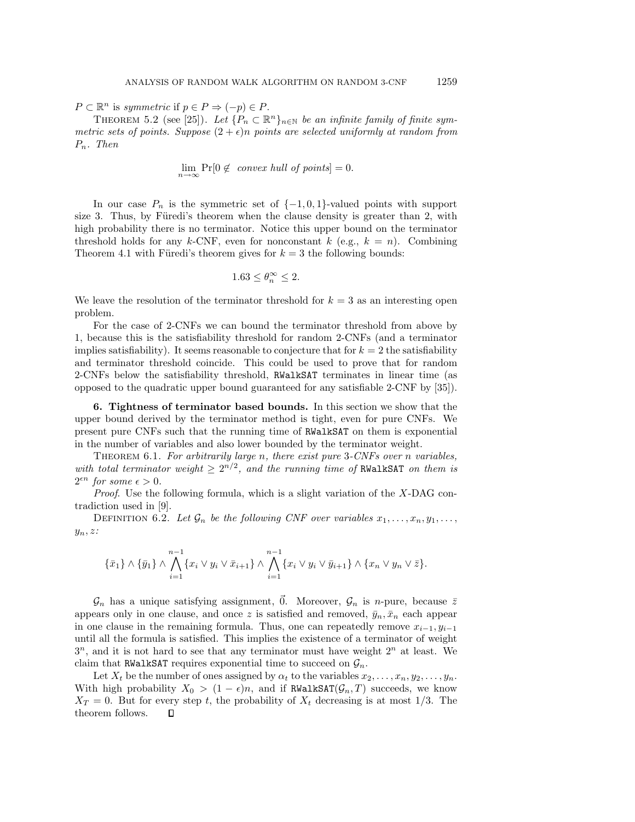$P \subset \mathbb{R}^n$  is symmetric if  $p \in P \Rightarrow (-p) \in P$ .

THEOREM 5.2 (see [25]). Let  $\{P_n \subset \mathbb{R}^n\}_{n\in\mathbb{N}}$  be an infinite family of finite symmetric sets of points. Suppose  $(2 + \epsilon)n$  points are selected uniformly at random from  $P_n$ . Then

$$
\lim_{n \to \infty} \Pr[0 \notin \text{ convex hull of points}] = 0.
$$

In our case  $P_n$  is the symmetric set of  $\{-1,0,1\}$ -valued points with support size 3. Thus, by Füredi's theorem when the clause density is greater than 2, with high probability there is no terminator. Notice this upper bound on the terminator threshold holds for any k-CNF, even for nonconstant k (e.g.,  $k = n$ ). Combining Theorem 4.1 with Füredi's theorem gives for  $k = 3$  the following bounds:

$$
1.63\leq \theta_n^\infty\leq 2.
$$

We leave the resolution of the terminator threshold for  $k = 3$  as an interesting open problem.

For the case of 2-CNFs we can bound the terminator threshold from above by 1, because this is the satisfiability threshold for random 2-CNFs (and a terminator implies satisfiability). It seems reasonable to conjecture that for  $k = 2$  the satisfiability and terminator threshold coincide. This could be used to prove that for random 2-CNFs below the satisfiability threshold, RWalkSAT terminates in linear time (as opposed to the quadratic upper bound guaranteed for any satisfiable 2-CNF by [35]).

**6. Tightness of terminator based bounds.** In this section we show that the upper bound derived by the terminator method is tight, even for pure CNFs. We present pure CNFs such that the running time of RWalkSAT on them is exponential in the number of variables and also lower bounded by the terminator weight.

THEOREM 6.1. For arbitrarily large n, there exist pure 3-CNFs over n variables, with total terminator weight  $\geq 2^{n/2}$ , and the running time of RWalkSAT on them is  $2^{\epsilon n}$  for some  $\epsilon > 0$ .

*Proof.* Use the following formula, which is a slight variation of the  $X$ -DAG contradiction used in [9].

DEFINITION 6.2. Let  $\mathcal{G}_n$  be the following CNF over variables  $x_1, \ldots, x_n, y_1, \ldots,$  $y_n, z$ :

$$
\{\bar{x}_1\} \wedge \{\bar{y}_1\} \wedge \bigwedge_{i=1}^{n-1} \{x_i \vee y_i \vee \bar{x}_{i+1}\} \wedge \bigwedge_{i=1}^{n-1} \{x_i \vee y_i \vee \bar{y}_{i+1}\} \wedge \{x_n \vee y_n \vee \bar{z}\}.
$$

 $\mathcal{G}_n$  has a unique satisfying assignment,  $\vec{0}$ . Moreover,  $\mathcal{G}_n$  is *n*-pure, because  $\bar{z}$ appears only in one clause, and once z is satisfied and removed,  $\bar{y}_n, \bar{x}_n$  each appear in one clause in the remaining formula. Thus, one can repeatedly remove  $x_{i-1}, y_{i-1}$ until all the formula is satisfied. This implies the existence of a terminator of weight  $3^n$ , and it is not hard to see that any terminator must have weight  $2^n$  at least. We claim that RWalkSAT requires exponential time to succeed on  $\mathcal{G}_n$ .

Let  $X_t$  be the number of ones assigned by  $\alpha_t$  to the variables  $x_2, \ldots, x_n, y_2, \ldots, y_n$ . With high probability  $X_0 > (1 - \epsilon)n$ , and if RWalkSAT $(\mathcal{G}_n, T)$  succeeds, we know  $X_T = 0$ . But for every step t, the probability of  $X_t$  decreasing is at most 1/3. The theorem follows. $\Box$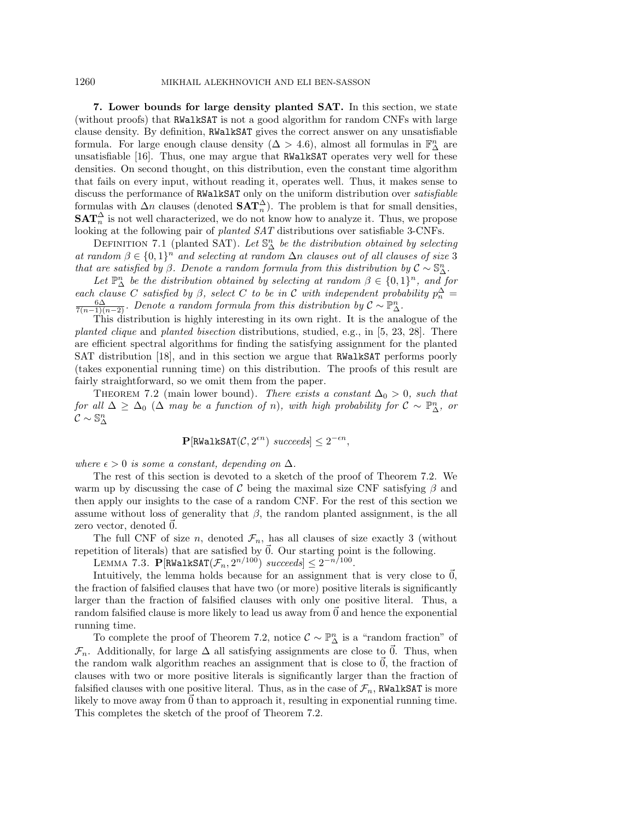### 1260 MIKHAIL ALEKHNOVICH AND ELI BEN-SASSON

**7. Lower bounds for large density planted SAT.** In this section, we state (without proofs) that RWalkSAT is not a good algorithm for random CNFs with large clause density. By definition, RWalkSAT gives the correct answer on any unsatisfiable formula. For large enough clause density ( $\Delta > 4.6$ ), almost all formulas in  $\mathbb{F}_{\Delta}^n$  are unsatisfiable [16]. Thus, one may argue that RWalkSAT operates very well for these densities. On second thought, on this distribution, even the constant time algorithm that fails on every input, without reading it, operates well. Thus, it makes sense to discuss the performance of RWalkSAT only on the uniform distribution over satisfiable formulas with  $\Delta n$  clauses (denoted  $\text{SAT}_{n}^{\Delta}$ ). The problem is that for small densities,  $\textbf{SAT}_n^{\Delta}$  is not well characterized, we do not know how to analyze it. Thus, we propose looking at the following pair of planted SAT distributions over satisfiable 3-CNFs.

DEFINITION 7.1 (planted SAT). Let  $\mathbb{S}^n_{\Delta}$  be the distribution obtained by selecting at random  $\beta \in \{0,1\}^n$  and selecting at random  $\Delta n$  clauses out of all clauses of size 3 that are satisfied by  $\beta$ . Denote a random formula from this distribution by  $\mathcal{C} \sim \mathbb{S}_{\Delta}^n$ .

Let  $\mathbb{P}^n_{\Delta}$  be the distribution obtained by selecting at random  $\beta \in \{0,1\}^n$ , and for each clause C satisfied by  $\beta$ , select C to be in C with independent probability  $p_n^{\Delta} = \frac{6\Delta}{n}$  Denote a random formula from this distribution by  $\mathcal{C}_{\Delta} \mathbb{P}^n$  $\frac{6\Delta}{7(n-1)(n-2)}$ . Denote a random formula from this distribution by  $\mathcal{C} \sim \mathbb{P}_{\Delta}^n$ .

This distribution is highly interesting in its own right. It is the analogue of the planted clique and planted bisection distributions, studied, e.g., in [5, 23, 28]. There are efficient spectral algorithms for finding the satisfying assignment for the planted SAT distribution [18], and in this section we argue that RWalkSAT performs poorly (takes exponential running time) on this distribution. The proofs of this result are fairly straightforward, so we omit them from the paper.

THEOREM 7.2 (main lower bound). There exists a constant  $\Delta_0 > 0$ , such that for all  $\Delta \geq \Delta_0$  ( $\Delta$  may be a function of n), with high probability for  $\mathcal{C} \sim \mathbb{P}_{\Delta}^n$ , or  $\mathcal{C}\sim\mathbb{S}^n_{\Delta}$ 

 $\mathbf{P}[\text{RWaltsAT}(\mathcal{C}, 2^{\epsilon n}) \; succeeds] \leq 2^{-\epsilon n},$ 

where  $\epsilon > 0$  is some a constant, depending on  $\Delta$ .

The rest of this section is devoted to a sketch of the proof of Theorem 7.2. We warm up by discussing the case of C being the maximal size CNF satisfying  $\beta$  and then apply our insights to the case of a random CNF. For the rest of this section we assume without loss of generality that  $\beta$ , the random planted assignment, is the all zero vector, denoted  $\vec{0}$ .

The full CNF of size n, denoted  $\mathcal{F}_n$ , has all clauses of size exactly 3 (without repetition of literals) that are satisfied by  $\vec{0}$ . Our starting point is the following.

LEMMA 7.3. **P**[RWalkSAT $(\mathcal{F}_n, 2^{n/100})$  succeeds]  $\leq 2^{-n/100}$ .

Intuitively, the lemma holds because for an assignment that is very close to  $\vec{0}$ , the fraction of falsified clauses that have two (or more) positive literals is significantly larger than the fraction of falsified clauses with only one positive literal. Thus, a random falsified clause is more likely to lead us away from 0 and hence the exponential running time.

To complete the proof of Theorem 7.2, notice  $\mathcal{C} \sim \mathbb{P}_{\Delta}^n$  is a "random fraction" of  $\mathcal{F}_n$ . Additionally, for large  $\Delta$  all satisfying assignments are close to  $\vec{0}$ . Thus, when the random walk algorithm reaches an assignment that is close to  $\vec{0}$ , the fraction of clauses with two or more positive literals is significantly larger than the fraction of falsified clauses with one positive literal. Thus, as in the case of  $\mathcal{F}_n$ , RWalkSAT is more likely to move away from 0 than to approach it, resulting in exponential running time. This completes the sketch of the proof of Theorem 7.2.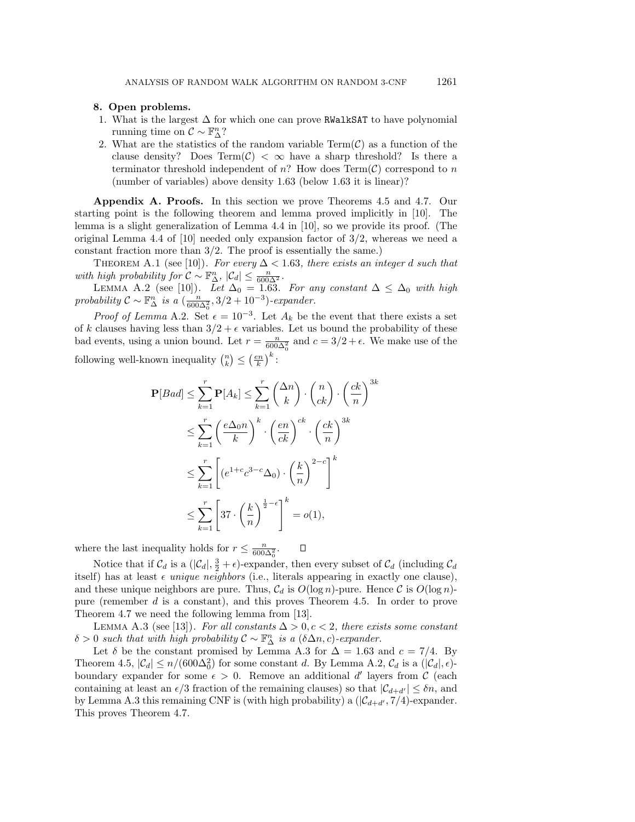## **8. Open problems.**

- 1. What is the largest  $\Delta$  for which one can prove RWalkSAT to have polynomial running time on  $\mathcal{C} \sim \mathbb{F}_{\Delta}^n$ ?
- 2. What are the statistics of the random variable  $Term(\mathcal{C})$  as a function of the clause density? Does Term( $\mathcal{C}$ ) <  $\infty$  have a sharp threshold? Is there a terminator threshold independent of n? How does  $Term(\mathcal{C})$  correspond to n (number of variables) above density 1.63 (below 1.63 it is linear)?

**Appendix A. Proofs.** In this section we prove Theorems 4.5 and 4.7. Our starting point is the following theorem and lemma proved implicitly in [10]. The lemma is a slight generalization of Lemma 4.4 in [10], so we provide its proof. (The original Lemma 4.4 of  $[10]$  needed only expansion factor of  $3/2$ , whereas we need a constant fraction more than 3/2. The proof is essentially the same.)

THEOREM A.1 (see [10]). For every  $\Delta < 1.63$ , there exists an integer d such that with high probability for  $\mathcal{C} \sim \mathbb{F}_{\Delta}^n$ ,  $|\mathcal{C}_d| \leq \frac{n}{600\Delta^2}$ .

LEMMA A.2 (see [10]). Let  $\Delta_0 = 1.63$ . For any constant  $\Delta \leq \Delta_0$  with high probability  $C \sim \mathbb{F}_{\Delta}^n$  is a  $\left(\frac{n}{600\Delta_0^2}, 3/2 + 10^{-3}\right)$ -expander.

*Proof of Lemma* A.2. Set  $\epsilon = 10^{-3}$ . Let  $A_k$  be the event that there exists a set of k clauses having less than  $3/2 + \epsilon$  variables. Let us bound the probability of these bad events, using a union bound. Let  $r = \frac{n}{600\Delta_0^2}$  and  $c = 3/2 + \epsilon$ . We make use of the following well-known inequality  $\binom{n}{k} \leq \left(\frac{en}{k}\right)^k$ :

$$
\mathbf{P}[Bad] \leq \sum_{k=1}^{r} \mathbf{P}[A_k] \leq \sum_{k=1}^{r} {\Delta n \choose k} \cdot {n \choose ck} \cdot \left(\frac{ck}{n}\right)^{3k}
$$
  

$$
\leq \sum_{k=1}^{r} {\left(\frac{e\Delta_0 n}{k}\right)}^k \cdot {\left(\frac{en}{ck}\right)}^{ck} \cdot \left(\frac{ck}{n}\right)^{3k}
$$
  

$$
\leq \sum_{k=1}^{r} \left[ (e^{1+c}c^{3-c}\Delta_0) \cdot \left(\frac{k}{n}\right)^{2-c} \right]^k
$$
  

$$
\leq \sum_{k=1}^{r} \left[ 37 \cdot \left(\frac{k}{n}\right)^{\frac{1}{2}-\epsilon} \right]^k = o(1),
$$

where the last inequality holds for  $r \leq \frac{n}{600\Delta_0^2}$ .  $\Box$ 

Notice that if  $C_d$  is a  $(|C_d|, \frac{3}{2} + \epsilon)$ -expander, then every subset of  $C_d$  (including  $C_d$ itself) has at least  $\epsilon$  unique neighbors (i.e., literals appearing in exactly one clause), and these unique neighbors are pure. Thus,  $C_d$  is  $O(\log n)$ -pure. Hence C is  $O(\log n)$ pure (remember d is a constant), and this proves Theorem 4.5. In order to prove Theorem 4.7 we need the following lemma from [13].

LEMMA A.3 (see [13]). For all constants  $\Delta > 0, c < 2$ , there exists some constant  $\delta > 0$  such that with high probability  $\mathcal{C} \sim \mathbb{F}_{\Delta}^n$  is a  $(\delta \Delta n, c)$ -expander.

Let  $\delta$  be the constant promised by Lemma A.3 for  $\Delta = 1.63$  and  $c = 7/4$ . By Theorem 4.5,  $|\mathcal{C}_d| \le n/(600\Delta_0^2)$  for some constant d. By Lemma A.2,  $\mathcal{C}_d$  is a  $(|\mathcal{C}_d|, \epsilon)$ boundary expander for some  $\epsilon > 0$ . Remove an additional d' layers from C (each containing at least an  $\epsilon/3$  fraction of the remaining clauses) so that  $|\mathcal{C}_{d+d'}| \leq \delta n$ , and by Lemma A.3 this remaining CNF is (with high probability) a  $(|\mathcal{C}_{d+d'}, 7/4)$ -expander. This proves Theorem 4.7.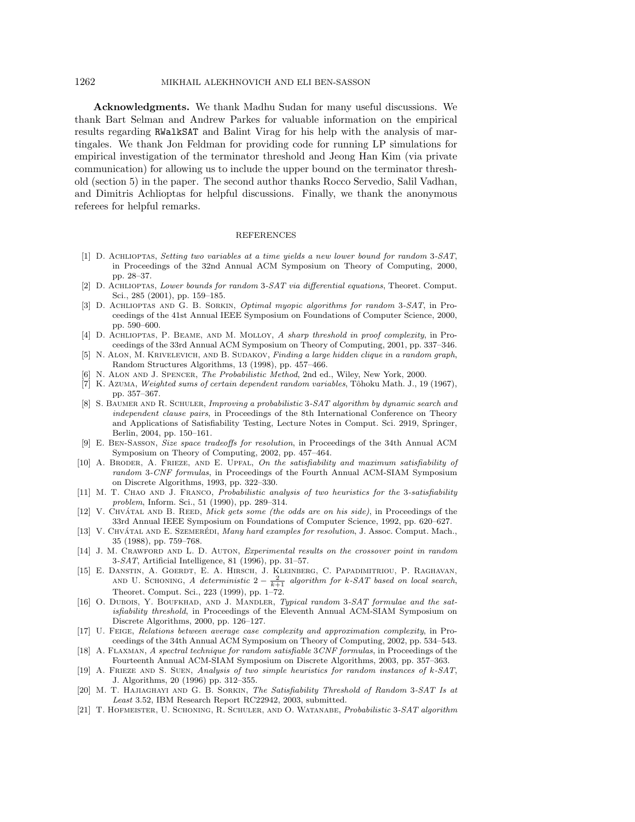## 1262 MIKHAIL ALEKHNOVICH AND ELI BEN-SASSON

**Acknowledgments.** We thank Madhu Sudan for many useful discussions. We thank Bart Selman and Andrew Parkes for valuable information on the empirical results regarding RWalkSAT and Balint Virag for his help with the analysis of martingales. We thank Jon Feldman for providing code for running LP simulations for empirical investigation of the terminator threshold and Jeong Han Kim (via private communication) for allowing us to include the upper bound on the terminator threshold (section 5) in the paper. The second author thanks Rocco Servedio, Salil Vadhan, and Dimitris Achlioptas for helpful discussions. Finally, we thank the anonymous referees for helpful remarks.

### REFERENCES

- [1] D. Achlioptas, Setting two variables at a time yields a new lower bound for random 3-SAT, in Proceedings of the 32nd Annual ACM Symposium on Theory of Computing, 2000, pp. 28–37.
- [2] D. Achlioptas, Lower bounds for random 3-SAT via differential equations, Theoret. Comput. Sci., 285 (2001), pp. 159–185.
- [3] D. ACHLIOPTAS AND G. B. SORKIN, *Optimal myopic algorithms for random* 3-SAT, in Proceedings of the 41st Annual IEEE Symposium on Foundations of Computer Science, 2000, pp. 590–600.
- [4] D. ACHLIOPTAS, P. BEAME, AND M. MOLLOY, A sharp threshold in proof complexity, in Proceedings of the 33rd Annual ACM Symposium on Theory of Computing, 2001, pp. 337–346.
- [5] N. ALON, M. KRIVELEVICH, AND B. SUDAKOV, Finding a large hidden clique in a random graph, Random Structures Algorithms, 13 (1998), pp. 457–466.
- [6] N. Alon and J. Spencer, The Probabilistic Method, 2nd ed., Wiley, New York, 2000.
- [7] K. Azuma, Weighted sums of certain dependent random variables, Tôhoku Math. J., 19 (1967), pp. 357–367.
- [8] S. BAUMER AND R. SCHULER, Improving a probabilistic 3-SAT algorithm by dynamic search and independent clause pairs, in Proceedings of the 8th International Conference on Theory and Applications of Satisfiability Testing, Lecture Notes in Comput. Sci. 2919, Springer, Berlin, 2004, pp. 150–161.
- [9] E. Ben-Sasson, Size space tradeoffs for resolution, in Proceedings of the 34th Annual ACM Symposium on Theory of Computing, 2002, pp. 457–464.
- [10] A. BRODER, A. FRIEZE, AND E. UPFAL, On the satisfiability and maximum satisfiability of random 3-CNF formulas, in Proceedings of the Fourth Annual ACM-SIAM Symposium on Discrete Algorithms, 1993, pp. 322–330.
- [11] M. T. CHAO AND J. FRANCO, Probabilistic analysis of two heuristics for the 3-satisfiability problem, Inform. Sci., 51 (1990), pp. 289–314.
- [12] V. CHVÁTAL AND B. REED, Mick gets some (the odds are on his side), in Proceedings of the 33rd Annual IEEE Symposium on Foundations of Computer Science, 1992, pp. 620–627.
- [13] V. CHVÁTAL AND E. SZEMERÉDI, Many hard examples for resolution, J. Assoc. Comput. Mach., 35 (1988), pp. 759–768.
- [14] J. M. CRAWFORD AND L. D. AUTON, Experimental results on the crossover point in random 3-SAT, Artificial Intelligence, 81 (1996), pp. 31–57.
- [15] E. Danstin, A. Goerdt, E. A. Hirsch, J. Kleinberg, C. Papadimitriou, P. Raghavan, AND U. SCHONING, A deterministic  $2 - \frac{2}{k+1}$  algorithm for k-SAT based on local search, Theoret. Comput. Sci., 223 (1999), pp. 1–72.
- [16] O. DUBOIS, Y. BOUFKHAD, AND J. MANDLER, Typical random 3-SAT formulae and the satisfiability threshold, in Proceedings of the Eleventh Annual ACM-SIAM Symposium on Discrete Algorithms, 2000, pp. 126–127.
- [17] U. Feige, Relations between average case complexity and approximation complexity, in Proceedings of the 34th Annual ACM Symposium on Theory of Computing, 2002, pp. 534–543.
- [18] A. Flaxman, A spectral technique for random satisfiable 3CNF formulas, in Proceedings of the Fourteenth Annual ACM-SIAM Symposium on Discrete Algorithms, 2003, pp. 357–363.
- [19] A. Frieze and S. Suen, Analysis of two simple heuristics for random instances of k-SAT, J. Algorithms, 20 (1996) pp. 312–355.
- [20] M. T. HAJIAGHAYI AND G. B. SORKIN, The Satisfiability Threshold of Random 3-SAT Is at Least 3.52, IBM Research Report RC22942, 2003, submitted.
- [21] T. Hofmeister, U. Schoning, R. Schuler, and O. Watanabe, Probabilistic 3-SAT algorithm